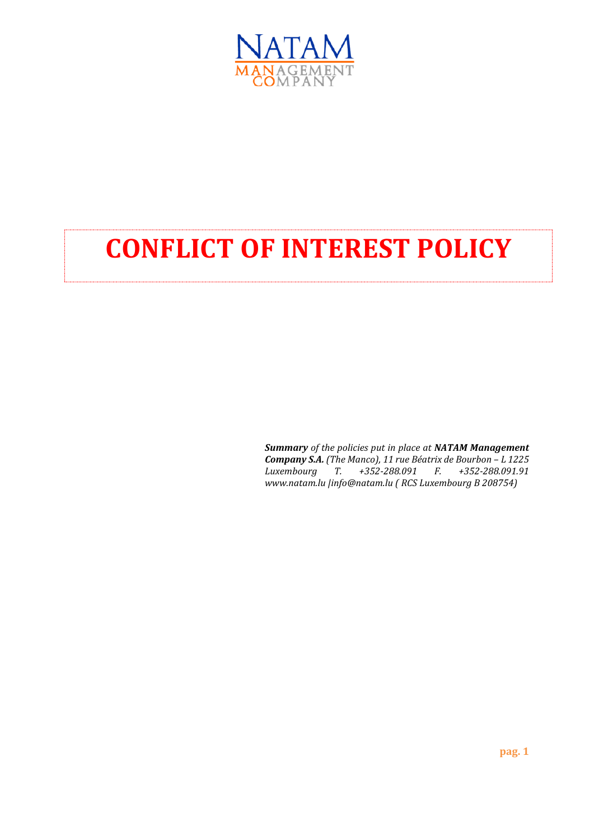

# **CONFLICT OF INTEREST POLICY**

*Summary of the policies put in place at NATAM Management*  **Company S.A.** (The Manco), 11 rue Béatrix de Bourbon - L 1225 *Luxembourg T. +352-288.091 F. +352-288.091.91 www.natam.lu |info@natam.lu ( RCS Luxembourg B 208754)*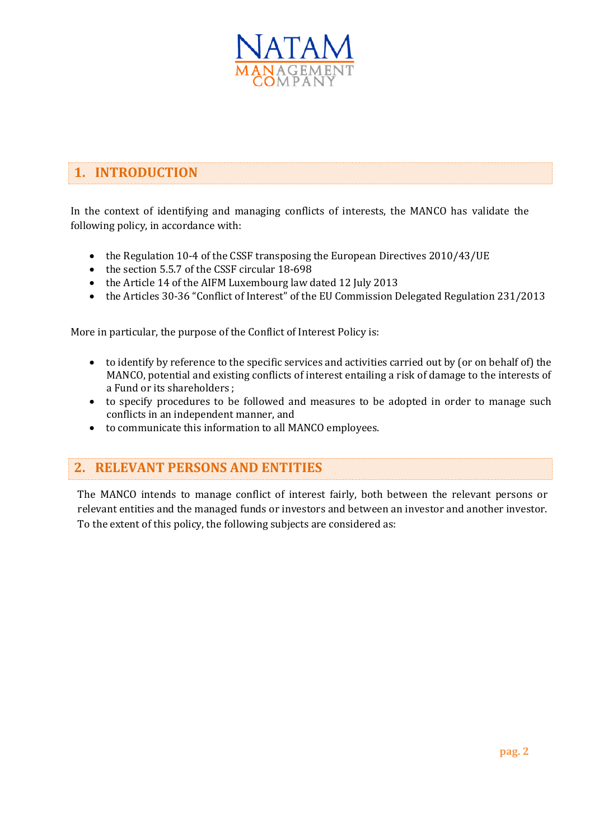

# **1. INTRODUCTION**

In the context of identifying and managing conflicts of interests, the MANCO has validate the following policy, in accordance with:

- the Regulation 10-4 of the CSSF transposing the European Directives 2010/43/UE
- the section 5.5.7 of the CSSF circular 18-698
- the Article 14 of the AIFM Luxembourg law dated 12 July 2013
- the Articles 30-36 "Conflict of Interest" of the EU Commission Delegated Regulation 231/2013

More in particular, the purpose of the Conflict of Interest Policy is:

- to identify by reference to the specific services and activities carried out by (or on behalf of) the MANCO, potential and existing conflicts of interest entailing a risk of damage to the interests of a Fund or its shareholders ;
- to specify procedures to be followed and measures to be adopted in order to manage such conflicts in an independent manner, and
- to communicate this information to all MANCO employees.

### **2. RELEVANT PERSONS AND ENTITIES**

The MANCO intends to manage conflict of interest fairly, both between the relevant persons or relevant entities and the managed funds or investors and between an investor and another investor. To the extent of this policy, the following subjects are considered as: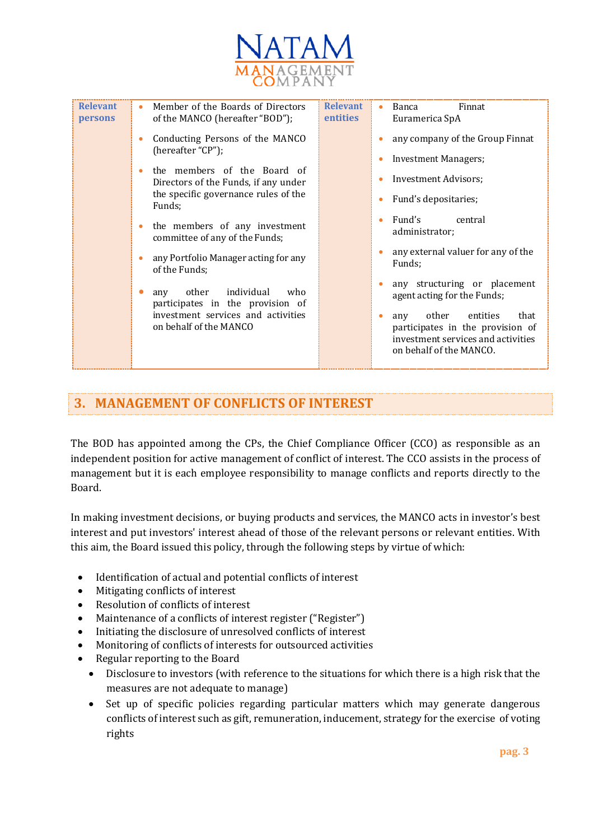

| <b>Relevant</b><br>persons | Member of the Boards of Directors<br>٠<br>of the MANCO (hereafter "BOD");<br>Conducting Persons of the MANCO<br>$\bullet$<br>(hereafter "CP");<br>the members of the Board of<br>٠<br>Directors of the Funds, if any under<br>the specific governance rules of the<br>Funds;<br>the members of any investment<br>$\bullet$<br>committee of any of the Funds;<br>any Portfolio Manager acting for any<br>$\bullet$<br>of the Funds;<br>individual<br>other<br>who<br>any | <b>Relevant</b><br><b>entities</b> | Finnat<br>Banca<br>٠<br>Euramerica SpA<br>any company of the Group Finnat<br><b>Investment Managers;</b><br>$\bullet$<br><b>Investment Advisors;</b><br>$\bullet$<br>Fund's depositaries;<br>$\bullet$<br>Fund's<br>central<br>$\bullet$<br>administrator;<br>any external valuer for any of the<br>$\bullet$<br>Funds;<br>any structuring or placement<br>agent acting for the Funds; |
|----------------------------|-------------------------------------------------------------------------------------------------------------------------------------------------------------------------------------------------------------------------------------------------------------------------------------------------------------------------------------------------------------------------------------------------------------------------------------------------------------------------|------------------------------------|----------------------------------------------------------------------------------------------------------------------------------------------------------------------------------------------------------------------------------------------------------------------------------------------------------------------------------------------------------------------------------------|
|                            | participates in the provision of<br>investment services and activities<br>on behalf of the MANCO                                                                                                                                                                                                                                                                                                                                                                        |                                    | other<br>entities<br>that<br>any<br>$\bullet$<br>participates in the provision of<br>investment services and activities<br>on behalf of the MANCO.                                                                                                                                                                                                                                     |

# **3. MANAGEMENT OF CONFLICTS OF INTEREST**

The BOD has appointed among the CPs, the Chief Compliance Officer (CCO) as responsible as an independent position for active management of conflict of interest. The CCO assists in the process of management but it is each employee responsibility to manage conflicts and reports directly to the Board.

In making investment decisions, or buying products and services, the MANCO acts in investor's best interest and put investors' interest ahead of those of the relevant persons or relevant entities. With this aim, the Board issued this policy, through the following steps by virtue of which:

- Identification of actual and potential conflicts of interest
- Mitigating conflicts of interest
- Resolution of conflicts of interest
- Maintenance of a conflicts of interest register ("Register")
- Initiating the disclosure of unresolved conflicts of interest
- Monitoring of conflicts of interests for outsourced activities
- Regular reporting to the Board
	- Disclosure to investors (with reference to the situations for which there is a high risk that the measures are not adequate to manage)
	- Set up of specific policies regarding particular matters which may generate dangerous conflicts of interest such as gift, remuneration, inducement, strategy for the exercise of voting rights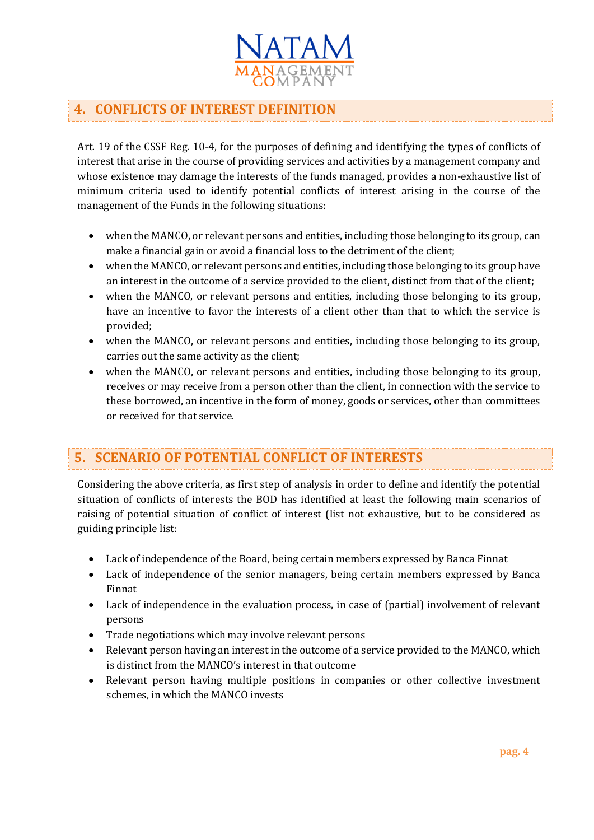

# **4. CONFLICTS OF INTEREST DEFINITION**

Art. 19 of the CSSF Reg. 10-4, for the purposes of defining and identifying the types of conflicts of interest that arise in the course of providing services and activities by a management company and whose existence may damage the interests of the funds managed, provides a non-exhaustive list of minimum criteria used to identify potential conflicts of interest arising in the course of the management of the Funds in the following situations:

- when the MANCO, or relevant persons and entities, including those belonging to its group, can make a financial gain or avoid a financial loss to the detriment of the client;
- when the MANCO, or relevant persons and entities, including those belonging to its group have an interest in the outcome of a service provided to the client, distinct from that of the client;
- when the MANCO, or relevant persons and entities, including those belonging to its group, have an incentive to favor the interests of a client other than that to which the service is provided;
- when the MANCO, or relevant persons and entities, including those belonging to its group, carries out the same activity as the client;
- when the MANCO, or relevant persons and entities, including those belonging to its group, receives or may receive from a person other than the client, in connection with the service to these borrowed, an incentive in the form of money, goods or services, other than committees or received for that service.

### **5. SCENARIO OF POTENTIAL CONFLICT OF INTERESTS**

Considering the above criteria, as first step of analysis in order to define and identify the potential situation of conflicts of interests the BOD has identified at least the following main scenarios of raising of potential situation of conflict of interest (list not exhaustive, but to be considered as guiding principle list:

- Lack of independence of the Board, being certain members expressed by Banca Finnat
- Lack of independence of the senior managers, being certain members expressed by Banca Finnat
- Lack of independence in the evaluation process, in case of (partial) involvement of relevant persons
- Trade negotiations which may involve relevant persons
- Relevant person having an interest in the outcome of a service provided to the MANCO, which is distinct from the MANCO's interest in that outcome
- Relevant person having multiple positions in companies or other collective investment schemes, in which the MANCO invests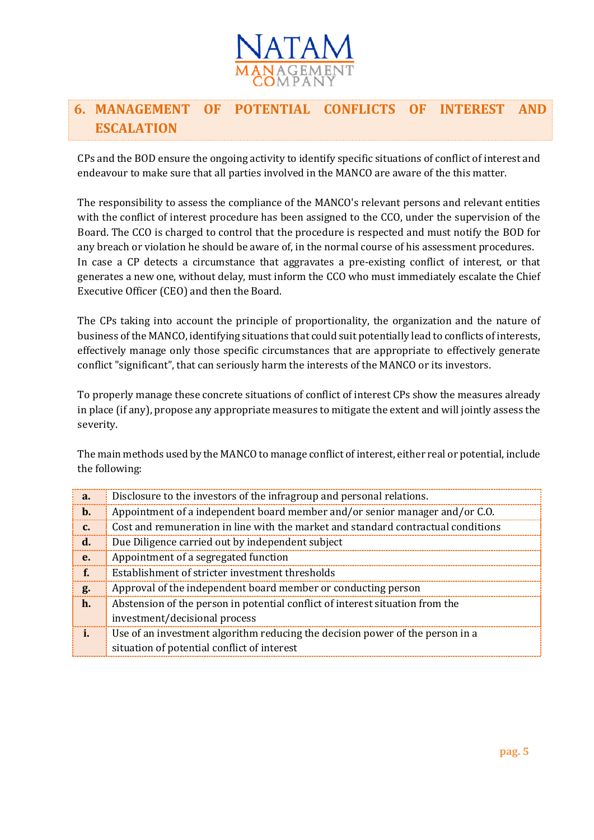

# **6. MANAGEMENT OF POTENTIAL CONFLICTS OF INTEREST AND ESCALATION**

CPs and the BOD ensure the ongoing activity to identify specific situations of conflict of interest and endeavour to make sure that all parties involved in the MANCO are aware of the this matter.

The responsibility to assess the compliance of the MANCO's relevant persons and relevant entities with the conflict of interest procedure has been assigned to the CCO, under the supervision of the Board. The CCO is charged to control that the procedure is respected and must notify the BOD for any breach or violation he should be aware of, in the normal course of his assessment procedures. In case a CP detects a circumstance that aggravates a pre-existing conflict of interest, or that generates a new one, without delay, must inform the CCO who must immediately escalate the Chief Executive Officer (CEO) and then the Board.

The CPs taking into account the principle of proportionality, the organization and the nature of business of the MANCO, identifying situations that could suit potentially lead to conflicts of interests, effectively manage only those specific circumstances that are appropriate to effectively generate conflict "significant", that can seriously harm the interests of the MANCO or its investors.

To properly manage these concrete situations of conflict of interest CPs show the measures already in place (if any), propose any appropriate measures to mitigate the extent and will jointly assess the severity.

The main methods used by the MANCO to manage conflict of interest, either real or potential, include the following:

| a.             | Disclosure to the investors of the infragroup and personal relations.             |
|----------------|-----------------------------------------------------------------------------------|
| $\mathbf b$ .  | Appointment of a independent board member and/or senior manager and/or C.O.       |
| $\mathbf{c}$ . | Cost and remuneration in line with the market and standard contractual conditions |
| $\mathbf{d}$ . | Due Diligence carried out by independent subject                                  |
| e.             | Appointment of a segregated function                                              |
| f.             | Establishment of stricter investment thresholds                                   |
| g.             | Approval of the independent board member or conducting person                     |
| $\mathbf{h}$ . | Abstension of the person in potential conflict of interest situation from the     |
|                | investment/decisional process                                                     |
|                | Use of an investment algorithm reducing the decision power of the person in a     |
|                | situation of potential conflict of interest                                       |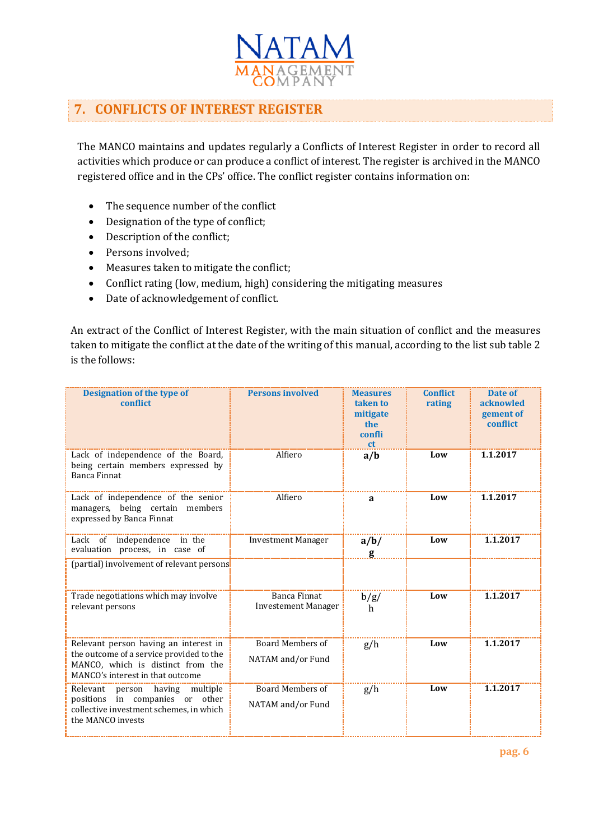

# **7. CONFLICTS OF INTEREST REGISTER**

The MANCO maintains and updates regularly a Conflicts of Interest Register in order to record all activities which produce or can produce a conflict of interest. The register is archived in the MANCO registered office and in the CPs' office. The conflict register contains information on:

- The sequence number of the conflict
- Designation of the type of conflict;
- Description of the conflict;
- Persons involved;
- Measures taken to mitigate the conflict;
- Conflict rating (low, medium, high) considering the mitigating measures
- Date of acknowledgement of conflict.

An extract of the Conflict of Interest Register, with the main situation of conflict and the measures taken to mitigate the conflict at the date of the writing of this manual, according to the list sub table 2 is the follows:

| <b>Designation of the type of</b><br>conflict                                                                                                              | <b>Persons involved</b>                      | <b>Measures</b><br>taken to<br>mitigate<br>the<br>confli<br><sub>ct</sub> | <b>Conflict</b><br>rating | Date of<br>acknowled<br>gement of<br>conflict |
|------------------------------------------------------------------------------------------------------------------------------------------------------------|----------------------------------------------|---------------------------------------------------------------------------|---------------------------|-----------------------------------------------|
| Lack of independence of the Board,<br>being certain members expressed by<br>Banca Finnat                                                                   | Alfiero                                      | a/b                                                                       | Low                       | 1.1.2017                                      |
| Lack of independence of the senior<br>managers, being certain members<br>expressed by Banca Finnat                                                         | Alfiero                                      | a                                                                         | Low                       | 1.1.2017                                      |
| Lack of independence in the<br>evaluation process, in case of                                                                                              | <b>Investment Manager</b>                    | a/b/                                                                      | Low                       | 1.1.2017                                      |
| (partial) involvement of relevant persons                                                                                                                  |                                              |                                                                           |                           |                                               |
| Trade negotiations which may involve<br>relevant persons                                                                                                   | Banca Finnat<br><b>Investement Manager</b>   | b/g/<br>h                                                                 | Low                       | 1.1.2017                                      |
| Relevant person having an interest in<br>the outcome of a service provided to the<br>MANCO, which is distinct from the<br>MANCO's interest in that outcome | <b>Board Members of</b><br>NATAM and/or Fund | g/h                                                                       | Low                       | 1.1.2017                                      |
| Relevant person having multiple<br>positions in companies or other<br>collective investment schemes, in which<br>the MANCO invests                         | <b>Board Members of</b><br>NATAM and/or Fund | g/h                                                                       | Low                       | 1.1.2017                                      |